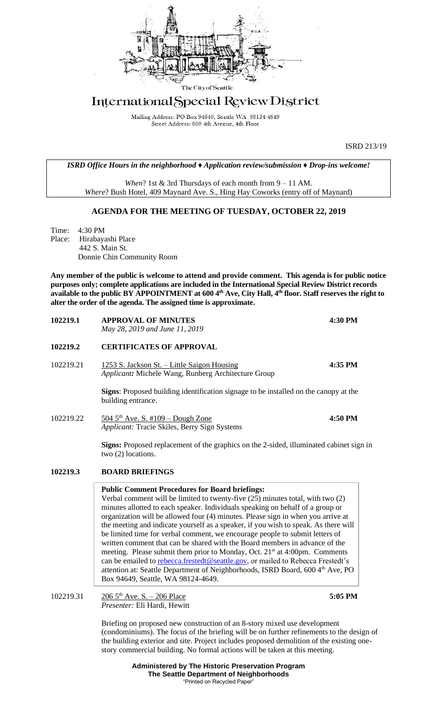

# International Special Review District

Mailing Address: PO Box 94649, Seattle WA 98124-4649 Street Address: 600 4th Avenue, 4th Floor

ISRD 213/19

*ISRD Office Hours in the neighborhood ♦ Application review/submission ♦ Drop-ins welcome!*

*When*? 1st & 3rd Thursdays of each month from 9 – 11 AM. *Where*? Bush Hotel, 409 Maynard Ave. S., Hing Hay Coworks (entry off of Maynard)

## **AGENDA FOR THE MEETING OF TUESDAY, OCTOBER 22, 2019**

Time: 4:30 PM Place: Hirabayashi Place 442 S. Main St. Donnie Chin Community Room

**Any member of the public is welcome to attend and provide comment. This agenda is for public notice purposes only; complete applications are included in the International Special Review District records available to the public BY APPOINTMENT at 600 4th Ave, City Hall, 4th floor. Staff reserves the right to alter the order of the agenda. The assigned time is approximate.** 

| 102219.1  | <b>APPROVAL OF MINUTES</b><br>May 28, 2019 and June 11, 2019                                                           | 4:30 PM |
|-----------|------------------------------------------------------------------------------------------------------------------------|---------|
| 102219.2  | <b>CERTIFICATES OF APPROVAL</b>                                                                                        |         |
| 102219.21 | 1253 S. Jackson St. - Little Saigon Housing<br><i>Applicant:</i> Michele Wang, Runberg Architecture Group              | 4:35 PM |
|           | <b>Signs:</b> Proposed building identification signage to be installed on the canopy at the<br>building entrance.      |         |
| 102219.22 | 504 $5th$ Ave. S. #109 – Dough Zone<br><i>Applicant:</i> Tracie Skiles, Berry Sign Systems                             | 4:50 PM |
|           | <b>Signs:</b> Proposed replacement of the graphics on the 2-sided, illuminated cabinet sign in<br>two $(2)$ locations. |         |
|           |                                                                                                                        |         |

### **102219.3 BOARD BRIEFINGS**

**Public Comment Procedures for Board briefings:** 

Verbal comment will be limited to twenty-five (25) minutes total, with two (2) minutes allotted to each speaker. Individuals speaking on behalf of a group or organization will be allowed four (4) minutes. Please sign in when you arrive at the meeting and indicate yourself as a speaker, if you wish to speak. As there will be limited time for verbal comment, we encourage people to submit letters of written comment that can be shared with the Board members in advance of the meeting. Please submit them prior to Monday, Oct. 21<sup>st</sup> at 4:00pm. Comments can be emailed to [rebecca.frestedt@seattle.gov,](mailto:rebecca.frestedt@seattle.gov) or mailed to Rebecca Frestedt's attention at: Seattle Department of Neighborhoods, ISRD Board, 600 4<sup>th</sup> Ave, PO Box 94649, Seattle, WA 98124-4649.

102219.31 206 5th Ave. S. – 206 Place **5:05 PM** *Presenter:* Eli Hardi, Hewitt

> Briefing on proposed new construction of an 8-story mixed use development (condominiums). The focus of the briefing will be on further refinements to the design of the building exterior and site. Project includes proposed demolition of the existing onestory commercial building. No formal actions will be taken at this meeting.

> > **Administered by The Historic Preservation Program The Seattle Department of Neighborhoods** "Printed on Recycled Paper"